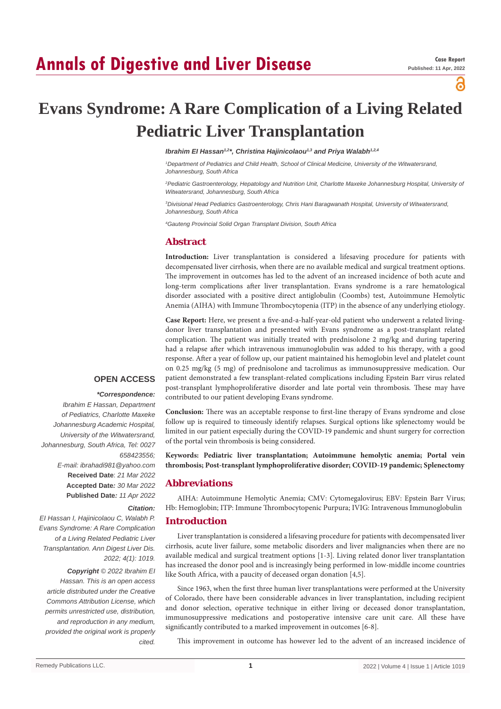# **Annals of Digestive and Liver Disease**

# а

# **Evans Syndrome: A Rare Complication of a Living Related Pediatric Liver Transplantation**

# *Ibrahim EI Hassan1,2\*, Christina Hajinicolaou1,3 and Priya Walabh1,2,4*

*1 Department of Pediatrics and Child Health, School of Clinical Medicine, University of the Witwatersrand, Johannesburg, South Africa*

*2 Pediatric Gastroenterology, Hepatology and Nutrition Unit, Charlotte Maxeke Johannesburg Hospital, University of Witwatersrand, Johannesburg, South Africa*

*3 Divisional Head Pediatrics Gastroenterology, Chris Hani Baragwanath Hospital, University of Witwatersrand, Johannesburg, South Africa*

*4 Gauteng Provincial Solid Organ Transplant Division, South Africa*

# **Abstract**

**Introduction:** Liver transplantation is considered a lifesaving procedure for patients with decompensated liver cirrhosis, when there are no available medical and surgical treatment options. The improvement in outcomes has led to the advent of an increased incidence of both acute and long-term complications after liver transplantation. Evans syndrome is a rare hematological disorder associated with a positive direct antiglobulin (Coombs) test, Autoimmune Hemolytic Anemia (AIHA) with Immune Thrombocytopenia (ITP) in the absence of any underlying etiology.

**Case Report:** Here, we present a five-and-a-half-year-old patient who underwent a related livingdonor liver transplantation and presented with Evans syndrome as a post-transplant related complication. The patient was initially treated with prednisolone 2 mg/kg and during tapering had a relapse after which intravenous immunoglobulin was added to his therapy, with a good response. After a year of follow up, our patient maintained his hemoglobin level and platelet count on 0.25 mg/kg (5 mg) of prednisolone and tacrolimus as immunosuppressive medication. Our patient demonstrated a few transplant-related complications including Epstein Barr virus related post-transplant lymphoproliferative disorder and late portal vein thrombosis. These may have contributed to our patient developing Evans syndrome.

**Conclusion:** There was an acceptable response to first-line therapy of Evans syndrome and close follow up is required to timeously identify relapses. Surgical options like splenectomy would be limited in our patient especially during the COVID-19 pandemic and shunt surgery for correction

# **OPEN ACCESS**

#### *\*Correspondence:*

*Citation:* 

*cited.*

*2022; 4(1): 1019.*

*Copyright © 2022 Ibrahim EI Hassan. This is an open access article distributed under the Creative Commons Attribution License, which permits unrestricted use, distribution, and reproduction in any medium, provided the original work is properly* 

*Ibrahim E Hassan, Department of Pediatrics, Charlotte Maxeke Johannesburg Academic Hospital, University of the Witwatersrand, Johannesburg, South Africa, Tel: 0027 658423556; E-mail: ibrahadi981@yahoo.com* **Received Date**: *21 Mar 2022* **Accepted Date***: 30 Mar 2022* **Published Date***: 11 Apr 2022*

*EI Hassan I, Hajinicolaou C, Walabh P. Evans Syndrome: A Rare Complication of a Living Related Pediatric Liver Transplantation. Ann Digest Liver Dis.* 

**Keywords: Pediatric liver transplantation; Autoimmune hemolytic anemia; Portal vein thrombosis; Post-transplant lymphoproliferative disorder; COVID-19 pandemic; Splenectomy**

## **Abbreviations**

of the portal vein thrombosis is being considered.

AIHA: Autoimmune Hemolytic Anemia; CMV: Cytomegalovirus; EBV: Epstein Barr Virus; Hb: Hemoglobin; ITP: Immune Thrombocytopenic Purpura; IVIG: Intravenous Immunoglobulin

#### **Introduction**

Liver transplantation is considered a lifesaving procedure for patients with decompensated liver cirrhosis, acute liver failure, some metabolic disorders and liver malignancies when there are no available medical and surgical treatment options [1-3]. Living related donor liver transplantation has increased the donor pool and is increasingly being performed in low-middle income countries like South Africa, with a paucity of deceased organ donation [4,5].

Since 1963, when the first three human liver transplantations were performed at the University of Colorado, there have been considerable advances in liver transplantation, including recipient and donor selection, operative technique in either living or deceased donor transplantation, immunosuppressive medications and postoperative intensive care unit care. All these have significantly contributed to a marked improvement in outcomes [6-8].

This improvement in outcome has however led to the advent of an increased incidence of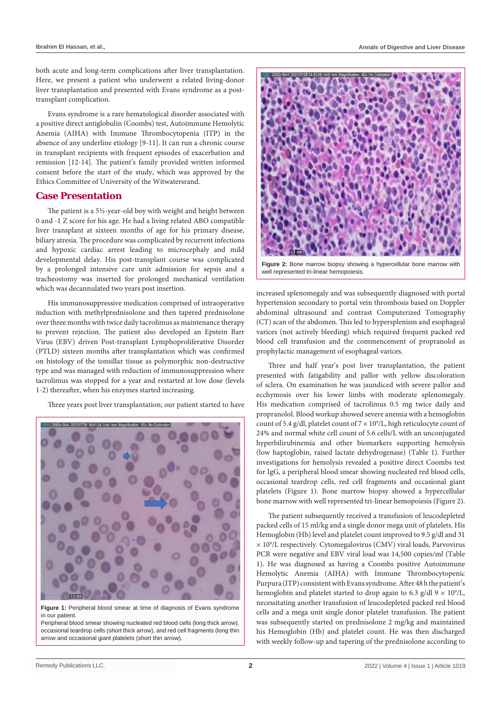both acute and long-term complications after liver transplantation. Here, we present a patient who underwent a related living-donor liver transplantation and presented with Evans syndrome as a posttransplant complication.

Evans syndrome is a rare hematological disorder associated with a positive direct antiglobulin (Coombs) test, Autoimmune Hemolytic Anemia (AIHA) with Immune Thrombocytopenia (ITP) in the absence of any underline etiology [9-11]. It can run a chronic course in transplant recipients with frequent episodes of exacerbation and remission [12-14]. The patient's family provided written informed consent before the start of the study, which was approved by the Ethics Committee of University of the Witwatersrand.

#### **Case Presentation**

The patient is a 5½-year-old boy with weight and height between 0 and -1 Z score for his age. He had a living related ABO compatible liver transplant at sixteen months of age for his primary disease, biliary atresia. The procedure was complicated by recurrent infections and hypoxic cardiac arrest leading to microcephaly and mild developmental delay. His post-transplant course was complicated by a prolonged intensive care unit admission for sepsis and a tracheostomy was inserted for prolonged mechanical ventilation which was decannulated two years post insertion.

His immunosuppressive medication comprised of intraoperative induction with methylprednisolone and then tapered prednisolone over three months with twice daily tacrolimus as maintenance therapy to prevent rejection. The patient also developed an Epstein Barr Virus (EBV) driven Post-transplant Lymphoproliferative Disorder (PTLD) sixteen months after transplantation which was confirmed on histology of the tonsillar tissue as polymorphic non-destructive type and was managed with reduction of immunosuppression where tacrolimus was stopped for a year and restarted at low dose (levels 1-2) thereafter, when his enzymes started increasing.

Three years post liver transplantation; our patient started to have



**Figure 1:** Peripheral blood smear at time of diagnosis of Evans syndrome in our patient.

Peripheral blood smear showing nucleated red blood cells (long thick arrow), occasional teardrop cells (short thick arrow), and red cell fragments (long thin arrow and occasional giant platelets (short thin arrow).



**Figure 2:** Bone marrow biopsy showing a hypercellular bone marrow with well represented tri-linear hemopoiesis.

increased splenomegaly and was subsequently diagnosed with portal hypertension secondary to portal vein thrombosis based on Doppler abdominal ultrasound and contrast Computerized Tomography (CT) scan of the abdomen. This led to hypersplenism and esophageal varices (not actively bleeding) which required frequent packed red blood cell transfusion and the commencement of propranolol as prophylactic management of esophageal varices.

Three and half year's post liver transplantation, the patient presented with fatigability and pallor with yellow discoloration of sclera. On examination he was jaundiced with severe pallor and ecchymosis over his lower limbs with moderate splenomegaly. His medication comprised of tacrolimus 0.5 mg twice daily and propranolol. Blood workup showed severe anemia with a hemoglobin count of 5.4 g/dl, platelet count of  $7 \times 10^9$ /L, high reticulocyte count of 24% and normal white cell count of 5.6 cells/L with an unconjugated hyperbilirubinemia and other biomarkers supporting hemolysis (low haptoglobin, raised lactate dehydrogenase) (Table 1). Further investigations for hemolysis revealed a positive direct Coombs test for IgG, a peripheral blood smear showing nucleated red blood cells, occasional teardrop cells, red cell fragments and occasional giant platelets (Figure 1). Bone marrow biopsy showed a hypercellular bone marrow with well represented tri-linear hemopoiesis (Figure 2).

The patient subsequently received a transfusion of leucodepleted packed cells of 15 ml/kg and a single donor mega unit of platelets. His Hemoglobin (Hb) level and platelet count improved to 9.5 g/dl and 31 × 109 /L respectively. Cytomegalovirus (CMV) viral loads, Parvovirus PCR were negative and EBV viral load was 14,500 copies/ml (Table 1). He was diagnosed as having a Coombs positive Autoimmune Hemolytic Anemia (AIHA) with Immune Thrombocytopenic Purpura (ITP) consistent with Evans syndrome. After 48 h the patient's hemoglobin and platelet started to drop again to 6.3 g/dl  $9 \times 10^9$ /L, necessitating another transfusion of leucodepleted packed red blood cells and a mega unit single donor platelet transfusion. The patient was subsequently started on prednisolone 2 mg/kg and maintained his Hemoglobin (Hb) and platelet count. He was then discharged with weekly follow-up and tapering of the prednisolone according to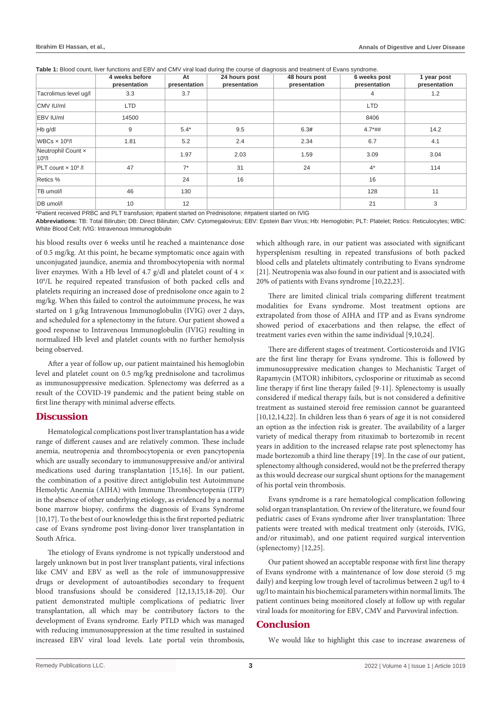Table 1: Blood count, liver functions and EBV and CMV viral load during the course of diagnosis and treatment of Evans syndrome.

|                                          | 4 weeks before<br>presentation | At<br>presentation | 24 hours post<br>presentation | 48 hours post<br>presentation | 6 weeks post<br>presentation | 1 year post<br>presentation |
|------------------------------------------|--------------------------------|--------------------|-------------------------------|-------------------------------|------------------------------|-----------------------------|
| Tacrolimus level ug/l                    | 3.3                            | 3.7                |                               |                               | 4                            | 1.2                         |
| CMV IU/ml                                | <b>LTD</b>                     |                    |                               |                               | <b>LTD</b>                   |                             |
| EBV IU/ml                                | 14500                          |                    |                               |                               | 8406                         |                             |
| Hb g/dl                                  | 9                              | $5.4*$             | 9.5                           | 6.3#                          | $4.7*$ ##                    | 14.2                        |
| WBCs $\times$ 10 <sup>9</sup> /l         | 1.81                           | 5.2                | 2.4                           | 2.34                          | 6.7                          | 4.1                         |
| Neutrophil Count x<br>10 <sup>9</sup> /I |                                | 1.97               | 2.03                          | 1.59                          | 3.09                         | 3.04                        |
| PLT count $\times$ 10 <sup>9</sup> /     | 47                             | $7^*$              | 31                            | 24                            | $4*$                         | 114                         |
| Retics %                                 |                                | 24                 | 16                            |                               | 16                           |                             |
| TB umol/l                                | 46                             | 130                |                               |                               | 128                          | 11                          |
| DB umol/l                                | 10                             | 12                 |                               |                               | 21                           | 3                           |

\*Patient received PRBC and PLT transfusion; #patient started on Prednisolone; ##patient started on IVIG

**Abbreviations:** TB: Total Bilirubin; DB: Direct Bilirubin; CMV: Cytomegalovirus; EBV: Epstein Barr Virus; Hb: Hemoglobin; PLT: Platelet; Retics: Reticulocytes; WBC: White Blood Cell; IVIG: Intravenous Immunoglobulin

his blood results over 6 weeks until he reached a maintenance dose of 0.5 mg/kg. At this point, he became symptomatic once again with unconjugated jaundice, anemia and thrombocytopenia with normal liver enzymes. With a Hb level of 4.7 g/dl and platelet count of 4  $\times$ 109 /L he required repeated transfusion of both packed cells and platelets requiring an increased dose of prednisolone once again to 2 mg/kg. When this failed to control the autoimmune process, he was started on 1 g/kg Intravenous Immunoglobulin (IVIG) over 2 days, and scheduled for a splenectomy in the future. Our patient showed a good response to Intravenous Immunoglobulin (IVIG) resulting in normalized Hb level and platelet counts with no further hemolysis being observed.

After a year of follow up, our patient maintained his hemoglobin level and platelet count on 0.5 mg/kg prednisolone and tacrolimus as immunosuppressive medication. Splenectomy was deferred as a result of the COVID-19 pandemic and the patient being stable on first line therapy with minimal adverse effects.

# **Discussion**

Hematological complications post liver transplantation has a wide range of different causes and are relatively common. These include anemia, neutropenia and thrombocytopenia or even pancytopenia which are usually secondary to immunosuppressive and/or antiviral medications used during transplantation [15,16]. In our patient, the combination of a positive direct antiglobulin test Autoimmune Hemolytic Anemia (AIHA) with Immune Thrombocytopenia (ITP) in the absence of other underlying etiology, as evidenced by a normal bone marrow biopsy, confirms the diagnosis of Evans Syndrome [10,17]. To the best of our knowledge this is the first reported pediatric case of Evans syndrome post living-donor liver transplantation in South Africa.

The etiology of Evans syndrome is not typically understood and largely unknown but in post liver transplant patients, viral infections like CMV and EBV as well as the role of immunosuppressive drugs or development of autoantibodies secondary to frequent blood transfusions should be considered [12,13,15,18-20]. Our patient demonstrated multiple complications of pediatric liver transplantation, all which may be contributory factors to the development of Evans syndrome. Early PTLD which was managed with reducing immunosuppression at the time resulted in sustained increased EBV viral load levels. Late portal vein thrombosis,

which although rare, in our patient was associated with significant hypersplenism resulting in repeated transfusions of both packed blood cells and platelets ultimately contributing to Evans syndrome [21]. Neutropenia was also found in our patient and is associated with 20% of patients with Evans syndrome [10,22,23].

There are limited clinical trials comparing different treatment modalities for Evans syndrome. Most treatment options are extrapolated from those of AIHA and ITP and as Evans syndrome showed period of exacerbations and then relapse, the effect of treatment varies even within the same individual [9,10,24].

There are different stages of treatment. Corticosteroids and IVIG are the first line therapy for Evans syndrome. This is followed by immunosuppressive medication changes to Mechanistic Target of Rapamycin (MTOR) inhibitors, cyclosporine or rituximab as second line therapy if first line therapy failed [9-11]. Splenectomy is usually considered if medical therapy fails, but is not considered a definitive treatment as sustained steroid free remission cannot be guaranteed [10,12,14,22]. In children less than 6 years of age it is not considered an option as the infection risk is greater. The availability of a larger variety of medical therapy from rituximab to bortezomib in recent years in addition to the increased relapse rate post splenectomy has made bortezomib a third line therapy [19]. In the case of our patient, splenectomy although considered, would not be the preferred therapy as this would decrease our surgical shunt options for the management of his portal vein thrombosis.

Evans syndrome is a rare hematological complication following solid organ transplantation. On review of the literature, we found four pediatric cases of Evans syndrome after liver transplantation: Three patients were treated with medical treatment only (steroids, IVIG, and/or rituximab), and one patient required surgical intervention (splenectomy) [12,25].

Our patient showed an acceptable response with first line therapy of Evans syndrome with a maintenance of low dose steroid (5 mg daily) and keeping low trough level of tacrolimus between 2 ug/l to 4 ug/l to maintain his biochemical parameters within normal limits. The patient continues being monitored closely at follow up with regular viral loads for monitoring for EBV, CMV and Parvoviral infection.

# **Conclusion**

We would like to highlight this case to increase awareness of